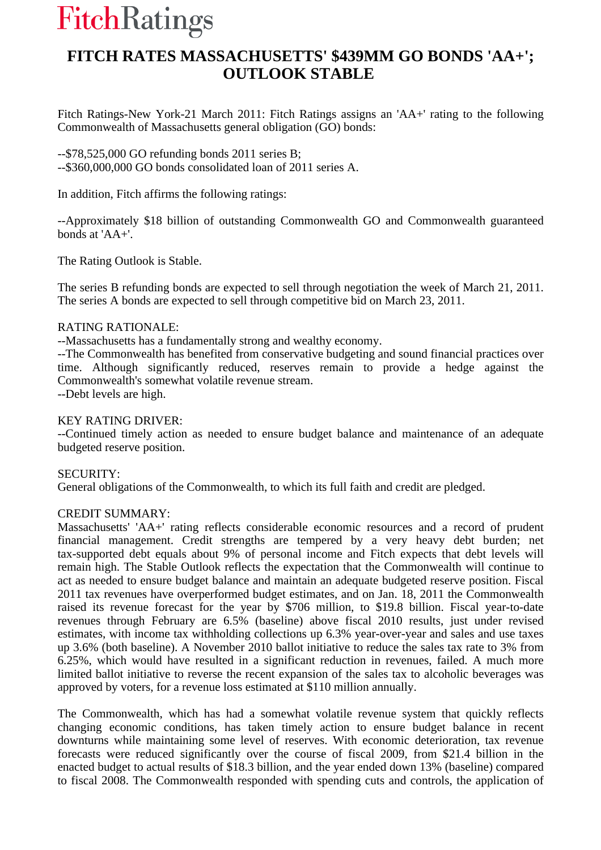# **FitchRatings**

# **FITCH RATES MASSACHUSETTS' \$439MM GO BONDS 'AA+'; OUTLOOK STABLE**

Fitch Ratings-New York-21 March 2011: Fitch Ratings assigns an 'AA+' rating to the following Commonwealth of Massachusetts general obligation (GO) bonds:

--\$78,525,000 GO refunding bonds 2011 series B; --\$360,000,000 GO bonds consolidated loan of 2011 series A.

In addition, Fitch affirms the following ratings:

--Approximately \$18 billion of outstanding Commonwealth GO and Commonwealth guaranteed bonds at 'AA+'.

The Rating Outlook is Stable.

The series B refunding bonds are expected to sell through negotiation the week of March 21, 2011. The series A bonds are expected to sell through competitive bid on March 23, 2011.

## RATING RATIONALE:

--Massachusetts has a fundamentally strong and wealthy economy.

--The Commonwealth has benefited from conservative budgeting and sound financial practices over time. Although significantly reduced, reserves remain to provide a hedge against the Commonwealth's somewhat volatile revenue stream. --Debt levels are high.

# KEY RATING DRIVER:

--Continued timely action as needed to ensure budget balance and maintenance of an adequate budgeted reserve position.

## SECURITY:

General obligations of the Commonwealth, to which its full faith and credit are pledged.

## CREDIT SUMMARY:

Massachusetts' 'AA+' rating reflects considerable economic resources and a record of prudent financial management. Credit strengths are tempered by a very heavy debt burden; net tax-supported debt equals about 9% of personal income and Fitch expects that debt levels will remain high. The Stable Outlook reflects the expectation that the Commonwealth will continue to act as needed to ensure budget balance and maintain an adequate budgeted reserve position. Fiscal 2011 tax revenues have overperformed budget estimates, and on Jan. 18, 2011 the Commonwealth raised its revenue forecast for the year by \$706 million, to \$19.8 billion. Fiscal year-to-date revenues through February are 6.5% (baseline) above fiscal 2010 results, just under revised estimates, with income tax withholding collections up 6.3% year-over-year and sales and use taxes up 3.6% (both baseline). A November 2010 ballot initiative to reduce the sales tax rate to 3% from 6.25%, which would have resulted in a significant reduction in revenues, failed. A much more limited ballot initiative to reverse the recent expansion of the sales tax to alcoholic beverages was approved by voters, for a revenue loss estimated at \$110 million annually.

The Commonwealth, which has had a somewhat volatile revenue system that quickly reflects changing economic conditions, has taken timely action to ensure budget balance in recent downturns while maintaining some level of reserves. With economic deterioration, tax revenue forecasts were reduced significantly over the course of fiscal 2009, from \$21.4 billion in the enacted budget to actual results of \$18.3 billion, and the year ended down 13% (baseline) compared to fiscal 2008. The Commonwealth responded with spending cuts and controls, the application of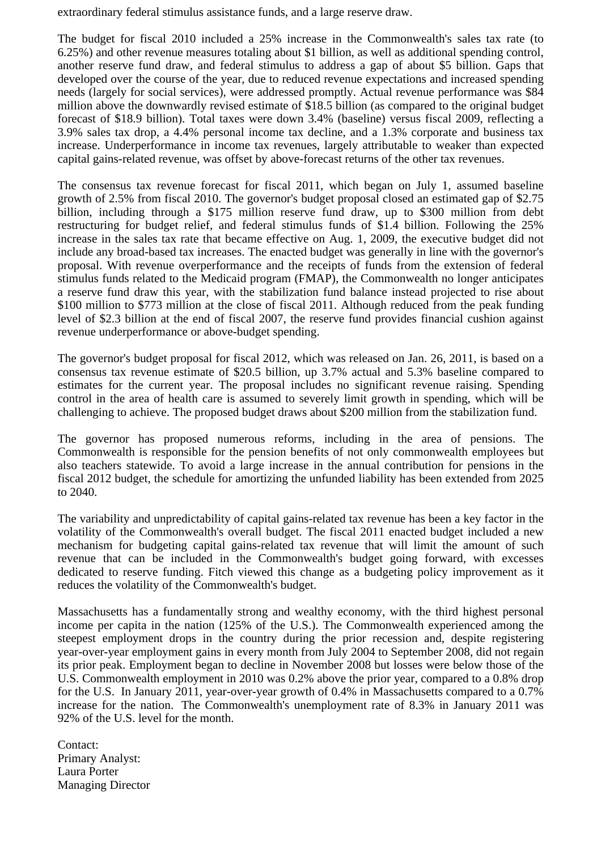extraordinary federal stimulus assistance funds, and a large reserve draw.

The budget for fiscal 2010 included a 25% increase in the Commonwealth's sales tax rate (to 6.25%) and other revenue measures totaling about \$1 billion, as well as additional spending control, another reserve fund draw, and federal stimulus to address a gap of about \$5 billion. Gaps that developed over the course of the year, due to reduced revenue expectations and increased spending needs (largely for social services), were addressed promptly. Actual revenue performance was \$84 million above the downwardly revised estimate of \$18.5 billion (as compared to the original budget forecast of \$18.9 billion). Total taxes were down 3.4% (baseline) versus fiscal 2009, reflecting a 3.9% sales tax drop, a 4.4% personal income tax decline, and a 1.3% corporate and business tax increase. Underperformance in income tax revenues, largely attributable to weaker than expected capital gains-related revenue, was offset by above-forecast returns of the other tax revenues.

The consensus tax revenue forecast for fiscal 2011, which began on July 1, assumed baseline growth of 2.5% from fiscal 2010. The governor's budget proposal closed an estimated gap of \$2.75 billion, including through a \$175 million reserve fund draw, up to \$300 million from debt restructuring for budget relief, and federal stimulus funds of \$1.4 billion. Following the 25% increase in the sales tax rate that became effective on Aug. 1, 2009, the executive budget did not include any broad-based tax increases. The enacted budget was generally in line with the governor's proposal. With revenue overperformance and the receipts of funds from the extension of federal stimulus funds related to the Medicaid program (FMAP), the Commonwealth no longer anticipates a reserve fund draw this year, with the stabilization fund balance instead projected to rise about \$100 million to \$773 million at the close of fiscal 2011. Although reduced from the peak funding level of \$2.3 billion at the end of fiscal 2007, the reserve fund provides financial cushion against revenue underperformance or above-budget spending.

The governor's budget proposal for fiscal 2012, which was released on Jan. 26, 2011, is based on a consensus tax revenue estimate of \$20.5 billion, up 3.7% actual and 5.3% baseline compared to estimates for the current year. The proposal includes no significant revenue raising. Spending control in the area of health care is assumed to severely limit growth in spending, which will be challenging to achieve. The proposed budget draws about \$200 million from the stabilization fund.

The governor has proposed numerous reforms, including in the area of pensions. The Commonwealth is responsible for the pension benefits of not only commonwealth employees but also teachers statewide. To avoid a large increase in the annual contribution for pensions in the fiscal 2012 budget, the schedule for amortizing the unfunded liability has been extended from 2025 to 2040.

The variability and unpredictability of capital gains-related tax revenue has been a key factor in the volatility of the Commonwealth's overall budget. The fiscal 2011 enacted budget included a new mechanism for budgeting capital gains-related tax revenue that will limit the amount of such revenue that can be included in the Commonwealth's budget going forward, with excesses dedicated to reserve funding. Fitch viewed this change as a budgeting policy improvement as it reduces the volatility of the Commonwealth's budget.

Massachusetts has a fundamentally strong and wealthy economy, with the third highest personal income per capita in the nation (125% of the U.S.). The Commonwealth experienced among the steepest employment drops in the country during the prior recession and, despite registering year-over-year employment gains in every month from July 2004 to September 2008, did not regain its prior peak. Employment began to decline in November 2008 but losses were below those of the U.S. Commonwealth employment in 2010 was 0.2% above the prior year, compared to a 0.8% drop for the U.S. In January 2011, year-over-year growth of 0.4% in Massachusetts compared to a 0.7% increase for the nation. The Commonwealth's unemployment rate of 8.3% in January 2011 was 92% of the U.S. level for the month.

Contact: Primary Analyst: Laura Porter Managing Director